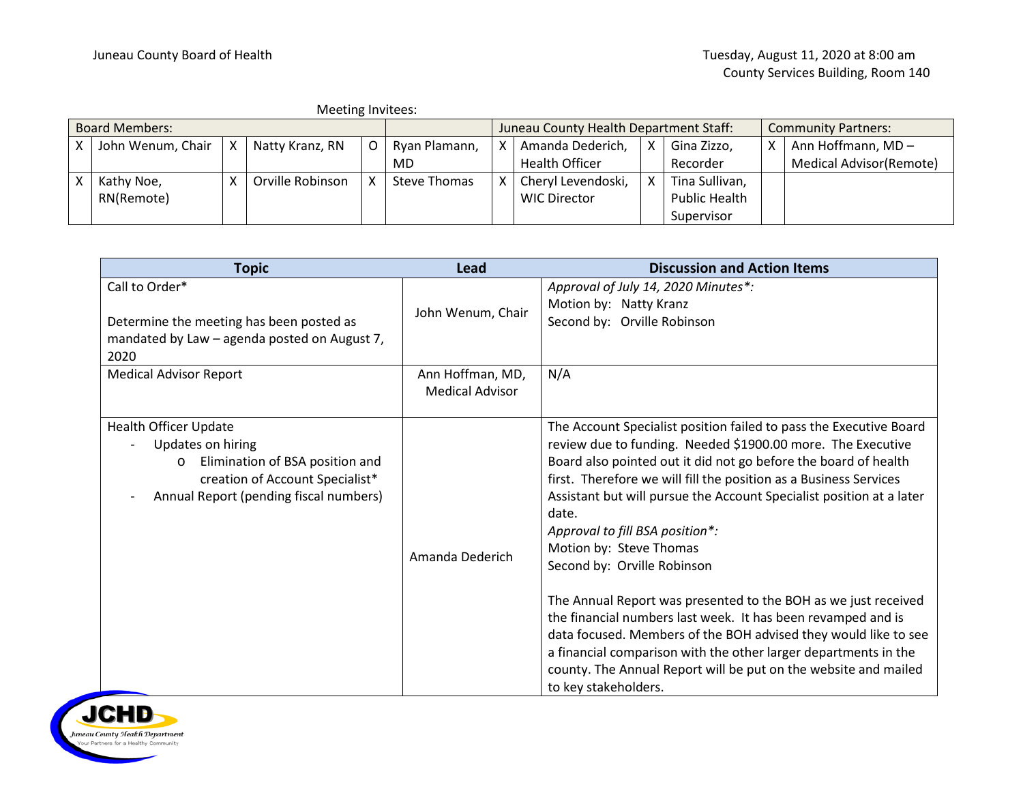| Meeting Invitees:     |                       |  |                  |                                        |               |  |                       |   |                            |   |                         |
|-----------------------|-----------------------|--|------------------|----------------------------------------|---------------|--|-----------------------|---|----------------------------|---|-------------------------|
| <b>Board Members:</b> |                       |  |                  | Juneau County Health Department Staff: |               |  |                       |   | <b>Community Partners:</b> |   |                         |
|                       | John Wenum, Chair   X |  | Natty Kranz, RN  |                                        | Ryan Plamann, |  | Amanda Dederich,      | Χ | Gina Zizzo,                | x | Ann Hoffmann, MD-       |
|                       |                       |  |                  |                                        | MD            |  | <b>Health Officer</b> |   | Recorder                   |   | Medical Advisor(Remote) |
|                       | Kathy Noe,            |  | Orville Robinson |                                        | Steve Thomas  |  | Cheryl Levendoski,    |   | Tina Sullivan,             |   |                         |
|                       | RN(Remote)            |  |                  |                                        |               |  | <b>WIC Director</b>   |   | <b>Public Health</b>       |   |                         |
|                       |                       |  |                  |                                        |               |  |                       |   | Supervisor                 |   |                         |

| <b>Topic</b>                                                                                                                                                                 | Lead                                       | <b>Discussion and Action Items</b>                                                                                                                                                                                                                                                                                                                                                                                                                                                                                                                                                                                                                                                                                                                                                                                         |  |  |
|------------------------------------------------------------------------------------------------------------------------------------------------------------------------------|--------------------------------------------|----------------------------------------------------------------------------------------------------------------------------------------------------------------------------------------------------------------------------------------------------------------------------------------------------------------------------------------------------------------------------------------------------------------------------------------------------------------------------------------------------------------------------------------------------------------------------------------------------------------------------------------------------------------------------------------------------------------------------------------------------------------------------------------------------------------------------|--|--|
| Call to Order*<br>Determine the meeting has been posted as<br>mandated by Law - agenda posted on August 7,<br>2020                                                           | John Wenum, Chair                          | Approval of July 14, 2020 Minutes*:<br>Motion by: Natty Kranz<br>Second by: Orville Robinson                                                                                                                                                                                                                                                                                                                                                                                                                                                                                                                                                                                                                                                                                                                               |  |  |
| <b>Medical Advisor Report</b>                                                                                                                                                | Ann Hoffman, MD,<br><b>Medical Advisor</b> | N/A                                                                                                                                                                                                                                                                                                                                                                                                                                                                                                                                                                                                                                                                                                                                                                                                                        |  |  |
| <b>Health Officer Update</b><br>Updates on hiring<br>Elimination of BSA position and<br>$\circ$<br>creation of Account Specialist*<br>Annual Report (pending fiscal numbers) | Amanda Dederich                            | The Account Specialist position failed to pass the Executive Board<br>review due to funding. Needed \$1900.00 more. The Executive<br>Board also pointed out it did not go before the board of health<br>first. Therefore we will fill the position as a Business Services<br>Assistant but will pursue the Account Specialist position at a later<br>date.<br>Approval to fill BSA position*:<br>Motion by: Steve Thomas<br>Second by: Orville Robinson<br>The Annual Report was presented to the BOH as we just received<br>the financial numbers last week. It has been revamped and is<br>data focused. Members of the BOH advised they would like to see<br>a financial comparison with the other larger departments in the<br>county. The Annual Report will be put on the website and mailed<br>to key stakeholders. |  |  |

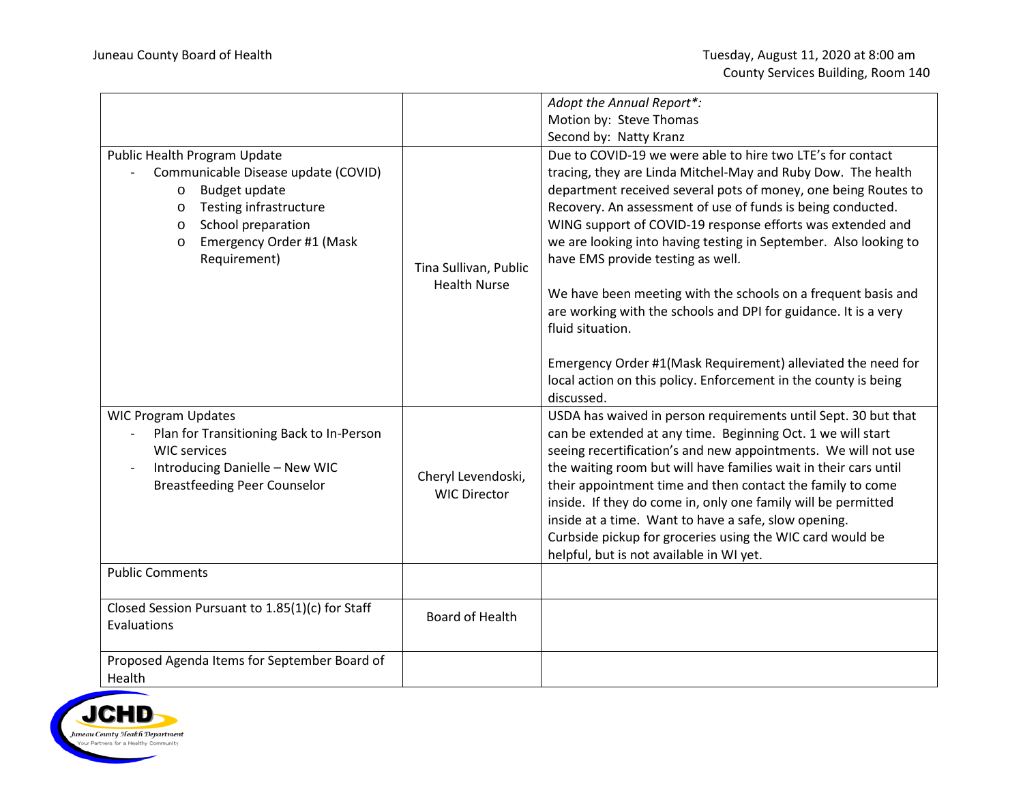|                                                                                                                                                                                                                              |                                              | Adopt the Annual Report*:                                                                                                                                                                                                                                                                                                                                                                                                                                                                                                                                                                  |  |  |  |
|------------------------------------------------------------------------------------------------------------------------------------------------------------------------------------------------------------------------------|----------------------------------------------|--------------------------------------------------------------------------------------------------------------------------------------------------------------------------------------------------------------------------------------------------------------------------------------------------------------------------------------------------------------------------------------------------------------------------------------------------------------------------------------------------------------------------------------------------------------------------------------------|--|--|--|
|                                                                                                                                                                                                                              |                                              | Motion by: Steve Thomas                                                                                                                                                                                                                                                                                                                                                                                                                                                                                                                                                                    |  |  |  |
|                                                                                                                                                                                                                              |                                              | Second by: Natty Kranz                                                                                                                                                                                                                                                                                                                                                                                                                                                                                                                                                                     |  |  |  |
| Public Health Program Update<br>Communicable Disease update (COVID)<br>Budget update<br>$\circ$<br>Testing infrastructure<br>$\circ$<br>School preparation<br>$\circ$<br>Emergency Order #1 (Mask<br>$\circ$<br>Requirement) | Tina Sullivan, Public<br><b>Health Nurse</b> | Due to COVID-19 we were able to hire two LTE's for contact<br>tracing, they are Linda Mitchel-May and Ruby Dow. The health<br>department received several pots of money, one being Routes to<br>Recovery. An assessment of use of funds is being conducted.<br>WING support of COVID-19 response efforts was extended and<br>we are looking into having testing in September. Also looking to<br>have EMS provide testing as well.<br>We have been meeting with the schools on a frequent basis and<br>are working with the schools and DPI for guidance. It is a very<br>fluid situation. |  |  |  |
|                                                                                                                                                                                                                              |                                              | Emergency Order #1(Mask Requirement) alleviated the need for<br>local action on this policy. Enforcement in the county is being<br>discussed.                                                                                                                                                                                                                                                                                                                                                                                                                                              |  |  |  |
| <b>WIC Program Updates</b><br>Plan for Transitioning Back to In-Person<br><b>WIC services</b><br>Introducing Danielle - New WIC<br><b>Breastfeeding Peer Counselor</b>                                                       | Cheryl Levendoski,<br><b>WIC Director</b>    | USDA has waived in person requirements until Sept. 30 but that<br>can be extended at any time. Beginning Oct. 1 we will start<br>seeing recertification's and new appointments. We will not use<br>the waiting room but will have families wait in their cars until<br>their appointment time and then contact the family to come<br>inside. If they do come in, only one family will be permitted<br>inside at a time. Want to have a safe, slow opening.<br>Curbside pickup for groceries using the WIC card would be<br>helpful, but is not available in WI yet.                        |  |  |  |
| <b>Public Comments</b>                                                                                                                                                                                                       |                                              |                                                                                                                                                                                                                                                                                                                                                                                                                                                                                                                                                                                            |  |  |  |
| Closed Session Pursuant to 1.85(1)(c) for Staff<br>Evaluations                                                                                                                                                               | <b>Board of Health</b>                       |                                                                                                                                                                                                                                                                                                                                                                                                                                                                                                                                                                                            |  |  |  |
| Proposed Agenda Items for September Board of<br>Health                                                                                                                                                                       |                                              |                                                                                                                                                                                                                                                                                                                                                                                                                                                                                                                                                                                            |  |  |  |